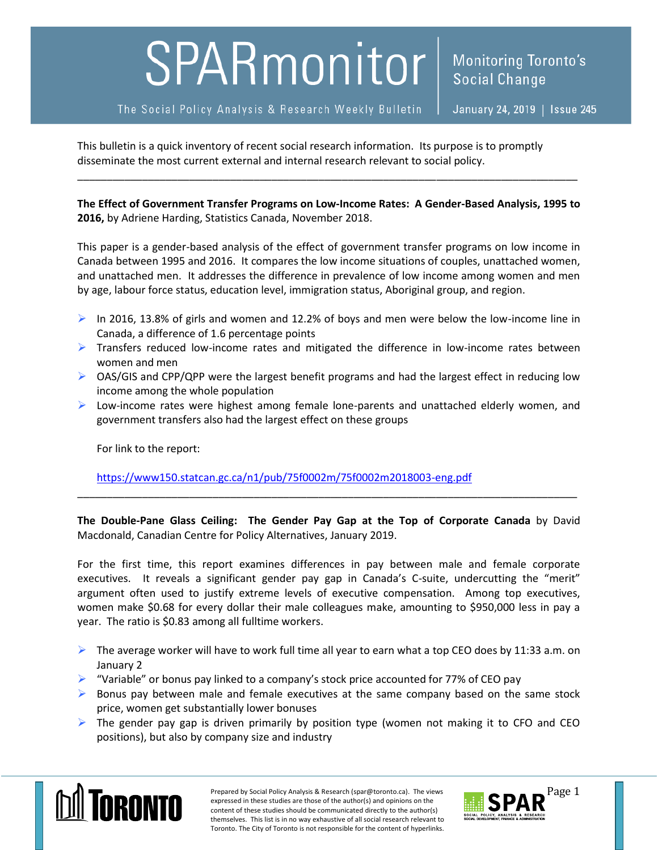## SPARmonitor

This bulletin is a quick inventory of recent social research information. Its purpose is to promptly disseminate the most current external and internal research relevant to social policy.

**The Effect of Government Transfer Programs on Low-Income Rates: A Gender-Based Analysis, 1995 to 2016,** by Adriene Harding, Statistics Canada, November 2018.

\_\_\_\_\_\_\_\_\_\_\_\_\_\_\_\_\_\_\_\_\_\_\_\_\_\_\_\_\_\_\_\_\_\_\_\_\_\_\_\_\_\_\_\_\_\_\_\_\_\_\_\_\_\_\_\_\_\_\_\_\_\_\_\_\_\_\_\_\_\_\_\_\_\_\_\_\_\_\_\_\_\_\_\_\_

This paper is a gender-based analysis of the effect of government transfer programs on low income in Canada between 1995 and 2016. It compares the low income situations of couples, unattached women, and unattached men. It addresses the difference in prevalence of low income among women and men by age, labour force status, education level, immigration status, Aboriginal group, and region.

- In 2016, 13.8% of girls and women and 12.2% of boys and men were below the low-income line in Canada, a difference of 1.6 percentage points
- $\triangleright$  Transfers reduced low-income rates and mitigated the difference in low-income rates between women and men
- $\triangleright$  OAS/GIS and CPP/QPP were the largest benefit programs and had the largest effect in reducing low income among the whole population
- $\triangleright$  Low-income rates were highest among female lone-parents and unattached elderly women, and government transfers also had the largest effect on these groups

For link to the report:

<https://www150.statcan.gc.ca/n1/pub/75f0002m/75f0002m2018003-eng.pdf>

**The Double-Pane Glass Ceiling: The Gender Pay Gap at the Top of Corporate Canada** by David Macdonald, Canadian Centre for Policy Alternatives, January 2019.

\_\_\_\_\_\_\_\_\_\_\_\_\_\_\_\_\_\_\_\_\_\_\_\_\_\_\_\_\_\_\_\_\_\_\_\_\_\_\_\_\_\_\_\_\_\_\_\_\_\_\_\_\_\_\_\_\_\_\_\_\_\_\_\_\_\_\_\_\_\_\_\_\_\_\_\_\_\_\_\_\_\_\_\_\_

For the first time, this report examines differences in pay between male and female corporate executives. It reveals a significant gender pay gap in Canada's C-suite, undercutting the "merit" argument often used to justify extreme levels of executive compensation. Among top executives, women make \$0.68 for every dollar their male colleagues make, amounting to \$950,000 less in pay a year. The ratio is \$0.83 among all fulltime workers.

- $\triangleright$  The average worker will have to work full time all year to earn what a top CEO does by 11:33 a.m. on January 2
- $\triangleright$  "Variable" or bonus pay linked to a company's stock price accounted for 77% of CEO pay
- $\triangleright$  Bonus pay between male and female executives at the same company based on the same stock price, women get substantially lower bonuses
- $\triangleright$  The gender pay gap is driven primarily by position type (women not making it to CFO and CEO positions), but also by company size and industry



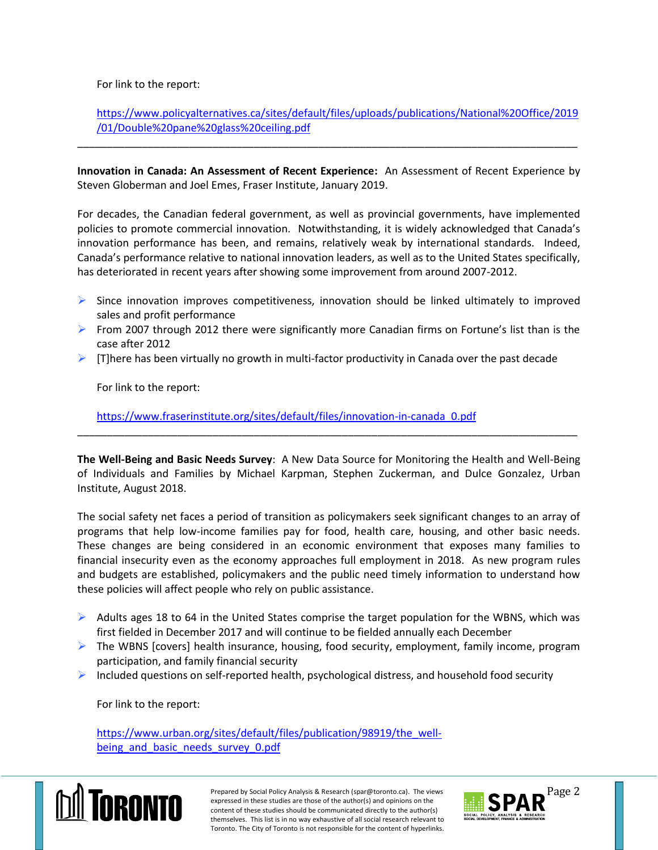For link to the report:

[https://www.policyalternatives.ca/sites/default/files/uploads/publications/National%20Office/2019](https://www.policyalternatives.ca/sites/default/files/uploads/publications/National%20Office/2019/01/Double%20pane%20glass%20ceiling.pdf) [/01/Double%20pane%20glass%20ceiling.pdf](https://www.policyalternatives.ca/sites/default/files/uploads/publications/National%20Office/2019/01/Double%20pane%20glass%20ceiling.pdf)

**Innovation in Canada: An Assessment of Recent Experience:** An Assessment of Recent Experience by Steven Globerman and Joel Emes, Fraser Institute, January 2019.

\_\_\_\_\_\_\_\_\_\_\_\_\_\_\_\_\_\_\_\_\_\_\_\_\_\_\_\_\_\_\_\_\_\_\_\_\_\_\_\_\_\_\_\_\_\_\_\_\_\_\_\_\_\_\_\_\_\_\_\_\_\_\_\_\_\_\_\_\_\_\_\_\_\_\_\_\_\_\_\_\_\_\_\_\_

For decades, the Canadian federal government, as well as provincial governments, have implemented policies to promote commercial innovation. Notwithstanding, it is widely acknowledged that Canada's innovation performance has been, and remains, relatively weak by international standards. Indeed, Canada's performance relative to national innovation leaders, as well as to the United States specifically, has deteriorated in recent years after showing some improvement from around 2007-2012.

- $\triangleright$  Since innovation improves competitiveness, innovation should be linked ultimately to improved sales and profit performance
- From 2007 through 2012 there were significantly more Canadian firms on Fortune's list than is the case after 2012
- $\triangleright$  [T]here has been virtually no growth in multi-factor productivity in Canada over the past decade

For link to the report:

[https://www.fraserinstitute.org/sites/default/files/innovation-in-canada\\_0.pdf](https://www.fraserinstitute.org/sites/default/files/innovation-in-canada_0.pdf)

**The Well-Being and Basic Needs Survey**: A New Data Source for Monitoring the Health and Well-Being of Individuals and Families by Michael Karpman, Stephen Zuckerman, and Dulce Gonzalez, Urban Institute, August 2018.

\_\_\_\_\_\_\_\_\_\_\_\_\_\_\_\_\_\_\_\_\_\_\_\_\_\_\_\_\_\_\_\_\_\_\_\_\_\_\_\_\_\_\_\_\_\_\_\_\_\_\_\_\_\_\_\_\_\_\_\_\_\_\_\_\_\_\_\_\_\_\_\_\_\_\_\_\_\_\_\_\_\_\_\_\_

The social safety net faces a period of transition as policymakers seek significant changes to an array of programs that help low-income families pay for food, health care, housing, and other basic needs. These changes are being considered in an economic environment that exposes many families to financial insecurity even as the economy approaches full employment in 2018. As new program rules and budgets are established, policymakers and the public need timely information to understand how these policies will affect people who rely on public assistance.

- $\triangleright$  Adults ages 18 to 64 in the United States comprise the target population for the WBNS, which was first fielded in December 2017 and will continue to be fielded annually each December
- $\triangleright$  The WBNS [covers] health insurance, housing, food security, employment, family income, program participation, and family financial security
- $\triangleright$  Included questions on self-reported health, psychological distress, and household food security

For link to the report:

[https://www.urban.org/sites/default/files/publication/98919/the\\_well](https://www.urban.org/sites/default/files/publication/98919/the_well-being_and_basic_needs_survey_0.pdf)being and basic needs survey 0.pdf



Prepared by Social Policy Analysis & Research (spar@toronto.ca). The views Page 2 expressed in these studies are those of the author(s) and opinions on the content of these studies should be communicated directly to the author(s) themselves. This list is in no way exhaustive of all social research relevant to Toronto. The City of Toronto is not responsible for the content of hyperlinks.